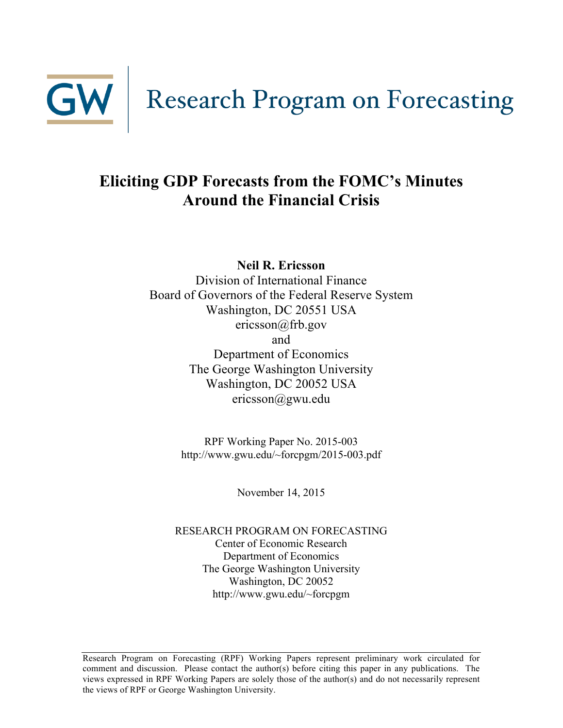

# **Eliciting GDP Forecasts from the FOMC's Minutes Around the Financial Crisis**

**Neil R. Ericsson**

Division of International Finance Board of Governors of the Federal Reserve System Washington, DC 20551 USA ericsson@frb.gov and Department of Economics The George Washington University Washington, DC 20052 USA ericsson@gwu.edu

> RPF Working Paper No. 2015-003 http://www.gwu.edu/~forcpgm/2015-003.pdf

> > November 14, 2015

RESEARCH PROGRAM ON FORECASTING Center of Economic Research Department of Economics The George Washington University Washington, DC 20052 http://www.gwu.edu/~forcpgm

Research Program on Forecasting (RPF) Working Papers represent preliminary work circulated for comment and discussion. Please contact the author(s) before citing this paper in any publications. The views expressed in RPF Working Papers are solely those of the author(s) and do not necessarily represent the views of RPF or George Washington University.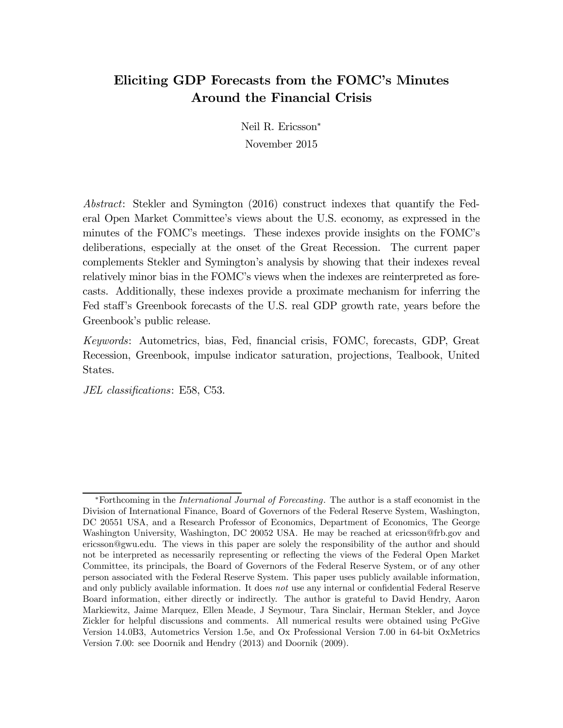### Eliciting GDP Forecasts from the FOMC's Minutes Around the Financial Crisis

Neil R. Ericsson<sup>∗</sup> November 2015

Abstract: Stekler and Symington (2016) construct indexes that quantify the Federal Open Market Committee's views about the U.S. economy, as expressed in the minutes of the FOMC's meetings. These indexes provide insights on the FOMC's deliberations, especially at the onset of the Great Recession. The current paper complements Stekler and Symington's analysis by showing that their indexes reveal relatively minor bias in the FOMC's views when the indexes are reinterpreted as forecasts. Additionally, these indexes provide a proximate mechanism for inferring the Fed staff's Greenbook forecasts of the U.S. real GDP growth rate, years before the Greenbook's public release.

Keywords: Autometrics, bias, Fed, financial crisis, FOMC, forecasts, GDP, Great Recession, Greenbook, impulse indicator saturation, projections, Tealbook, United States.

JEL classifications: E58, C53.

<sup>∗</sup>Forthcoming in the International Journal of Forecasting. The author is a staff economist in the Division of International Finance, Board of Governors of the Federal Reserve System, Washington, DC 20551 USA, and a Research Professor of Economics, Department of Economics, The George Washington University, Washington, DC 20052 USA. He may be reached at ericsson@frb.gov and ericsson@gwu.edu. The views in this paper are solely the responsibility of the author and should not be interpreted as necessarily representing or reflecting the views of the Federal Open Market Committee, its principals, the Board of Governors of the Federal Reserve System, or of any other person associated with the Federal Reserve System. This paper uses publicly available information, and only publicly available information. It does not use any internal or confidential Federal Reserve Board information, either directly or indirectly. The author is grateful to David Hendry, Aaron Markiewitz, Jaime Marquez, Ellen Meade, J Seymour, Tara Sinclair, Herman Stekler, and Joyce Zickler for helpful discussions and comments. All numerical results were obtained using PcGive Version 14.0B3, Autometrics Version 1.5e, and Ox Professional Version 7.00 in 64-bit OxMetrics Version 7.00: see Doornik and Hendry (2013) and Doornik (2009).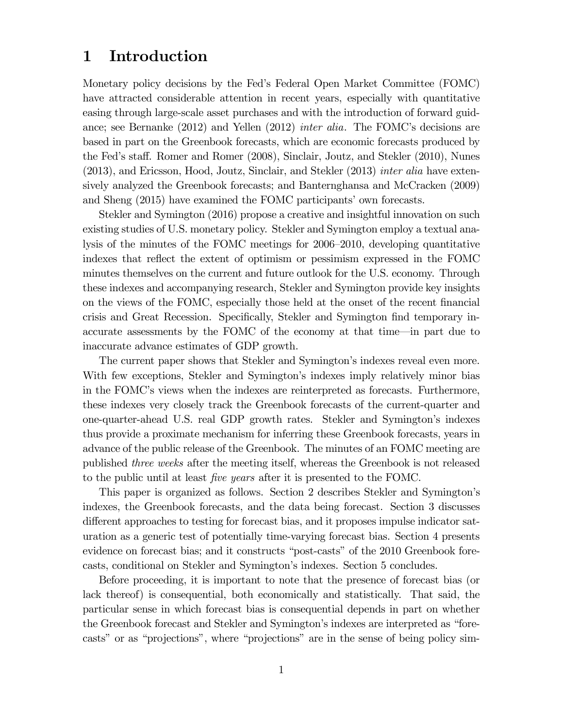### 1 Introduction

Monetary policy decisions by the Fed's Federal Open Market Committee (FOMC) have attracted considerable attention in recent years, especially with quantitative easing through large-scale asset purchases and with the introduction of forward guidance; see Bernanke (2012) and Yellen (2012) inter alia. The FOMC's decisions are based in part on the Greenbook forecasts, which are economic forecasts produced by the Fed's staff. Romer and Romer (2008), Sinclair, Joutz, and Stekler (2010), Nunes (2013), and Ericsson, Hood, Joutz, Sinclair, and Stekler (2013) inter alia have extensively analyzed the Greenbook forecasts; and Banternghansa and McCracken (2009) and Sheng (2015) have examined the FOMC participants' own forecasts.

Stekler and Symington (2016) propose a creative and insightful innovation on such existing studies of U.S. monetary policy. Stekler and Symington employ a textual analysis of the minutes of the FOMC meetings for 2006—2010, developing quantitative indexes that reflect the extent of optimism or pessimism expressed in the FOMC minutes themselves on the current and future outlook for the U.S. economy. Through these indexes and accompanying research, Stekler and Symington provide key insights on the views of the FOMC, especially those held at the onset of the recent financial crisis and Great Recession. Specifically, Stekler and Symington find temporary inaccurate assessments by the FOMC of the economy at that time–in part due to inaccurate advance estimates of GDP growth.

The current paper shows that Stekler and Symington's indexes reveal even more. With few exceptions, Stekler and Symington's indexes imply relatively minor bias in the FOMC's views when the indexes are reinterpreted as forecasts. Furthermore, these indexes very closely track the Greenbook forecasts of the current-quarter and one-quarter-ahead U.S. real GDP growth rates. Stekler and Symington's indexes thus provide a proximate mechanism for inferring these Greenbook forecasts, years in advance of the public release of the Greenbook. The minutes of an FOMC meeting are published three weeks after the meeting itself, whereas the Greenbook is not released to the public until at least five years after it is presented to the FOMC.

This paper is organized as follows. Section 2 describes Stekler and Symington's indexes, the Greenbook forecasts, and the data being forecast. Section 3 discusses different approaches to testing for forecast bias, and it proposes impulse indicator saturation as a generic test of potentially time-varying forecast bias. Section 4 presents evidence on forecast bias; and it constructs "post-casts" of the 2010 Greenbook forecasts, conditional on Stekler and Symington's indexes. Section 5 concludes.

Before proceeding, it is important to note that the presence of forecast bias (or lack thereof) is consequential, both economically and statistically. That said, the particular sense in which forecast bias is consequential depends in part on whether the Greenbook forecast and Stekler and Symington's indexes are interpreted as "forecasts" or as "projections", where "projections" are in the sense of being policy sim-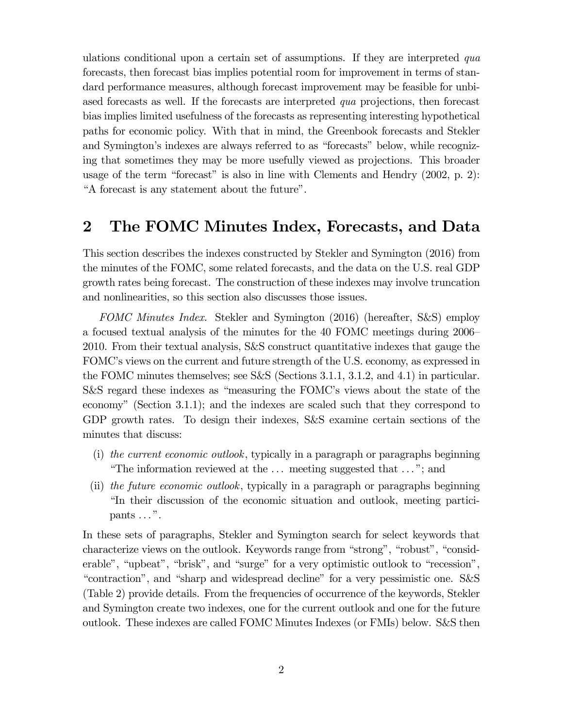ulations conditional upon a certain set of assumptions. If they are interpreted qua forecasts, then forecast bias implies potential room for improvement in terms of standard performance measures, although forecast improvement may be feasible for unbiased forecasts as well. If the forecasts are interpreted *qua* projections, then forecast bias implies limited usefulness of the forecasts as representing interesting hypothetical paths for economic policy. With that in mind, the Greenbook forecasts and Stekler and Symington's indexes are always referred to as "forecasts" below, while recognizing that sometimes they may be more usefully viewed as projections. This broader usage of the term "forecast" is also in line with Clements and Hendry (2002, p. 2): "A forecast is any statement about the future".

# 2 The FOMC Minutes Index, Forecasts, and Data

This section describes the indexes constructed by Stekler and Symington (2016) from the minutes of the FOMC, some related forecasts, and the data on the U.S. real GDP growth rates being forecast. The construction of these indexes may involve truncation and nonlinearities, so this section also discusses those issues.

FOMC Minutes Index. Stekler and Symington (2016) (hereafter, S&S) employ a focused textual analysis of the minutes for the 40 FOMC meetings during 2006— 2010. From their textual analysis, S&S construct quantitative indexes that gauge the FOMC's views on the current and future strength of the U.S. economy, as expressed in the FOMC minutes themselves; see S&S (Sections 3.1.1, 3.1.2, and 4.1) in particular. S&S regard these indexes as "measuring the FOMC's views about the state of the economy" (Section 3.1.1); and the indexes are scaled such that they correspond to GDP growth rates. To design their indexes, S&S examine certain sections of the minutes that discuss:

- (i) the current economic outlook, typically in a paragraph or paragraphs beginning "The information reviewed at the . . . meeting suggested that . . . "; and
- (ii) the future economic outlook, typically in a paragraph or paragraphs beginning "In their discussion of the economic situation and outlook, meeting participants  $\dots$ ".

In these sets of paragraphs, Stekler and Symington search for select keywords that characterize views on the outlook. Keywords range from "strong", "robust", "considerable", "upbeat", "brisk", and "surge" for a very optimistic outlook to "recession", "contraction", and "sharp and widespread decline" for a very pessimistic one. S&S (Table 2) provide details. From the frequencies of occurrence of the keywords, Stekler and Symington create two indexes, one for the current outlook and one for the future outlook. These indexes are called FOMC Minutes Indexes (or FMIs) below. S&S then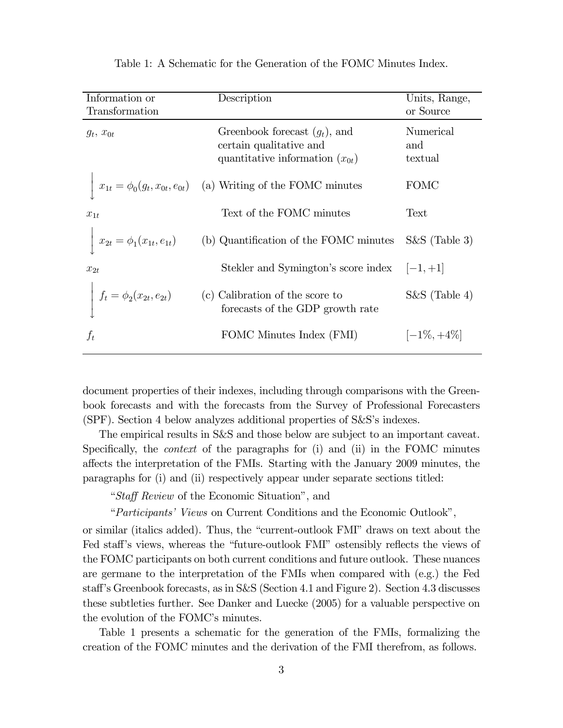| Information or<br>Transformation  | Description                                                                                        | Units, Range,<br>or Source  |
|-----------------------------------|----------------------------------------------------------------------------------------------------|-----------------------------|
| $q_t, x_{0t}$                     | Greenbook forecast $(g_t)$ , and<br>certain qualitative and<br>quantitative information $(x_{0t})$ | Numerical<br>and<br>textual |
|                                   | $x_{1t} = \phi_0(g_t, x_{0t}, e_{0t})$ (a) Writing of the FOMC minutes                             | <b>FOMC</b>                 |
| $x_{1t}$                          | Text of the FOMC minutes                                                                           | Text                        |
| $x_{2t} = \phi_1(x_{1t}, e_{1t})$ | (b) Quantification of the FOMC minutes                                                             | $S\&S$ (Table 3)            |
| $x_{2t}$                          | Stekler and Symington's score index $ -1,+1 $                                                      |                             |
| $f_{t}=\phi_{2}(x_{2t},e_{2t})$   | (c) Calibration of the score to<br>forecasts of the GDP growth rate                                | $S\&S$ (Table 4)            |
| $f_t$                             | FOMC Minutes Index (FMI)                                                                           | $ -1\%, +4\% $              |

Table 1: A Schematic for the Generation of the FOMC Minutes Index.

document properties of their indexes, including through comparisons with the Greenbook forecasts and with the forecasts from the Survey of Professional Forecasters (SPF). Section 4 below analyzes additional properties of S&S's indexes.

The empirical results in S&S and those below are subject to an important caveat. Specifically, the context of the paragraphs for (i) and (ii) in the FOMC minutes affects the interpretation of the FMIs. Starting with the January 2009 minutes, the paragraphs for (i) and (ii) respectively appear under separate sections titled:

"Staff Review of the Economic Situation", and

"Participants' Views on Current Conditions and the Economic Outlook",

or similar (italics added). Thus, the "current-outlook FMI" draws on text about the Fed staff's views, whereas the "future-outlook FMI" ostensibly reflects the views of the FOMC participants on both current conditions and future outlook. These nuances are germane to the interpretation of the FMIs when compared with (e.g.) the Fed staff's Greenbook forecasts, as in S&S (Section 4.1 and Figure 2). Section 4.3 discusses these subtleties further. See Danker and Luecke (2005) for a valuable perspective on the evolution of the FOMC's minutes.

Table 1 presents a schematic for the generation of the FMIs, formalizing the creation of the FOMC minutes and the derivation of the FMI therefrom, as follows.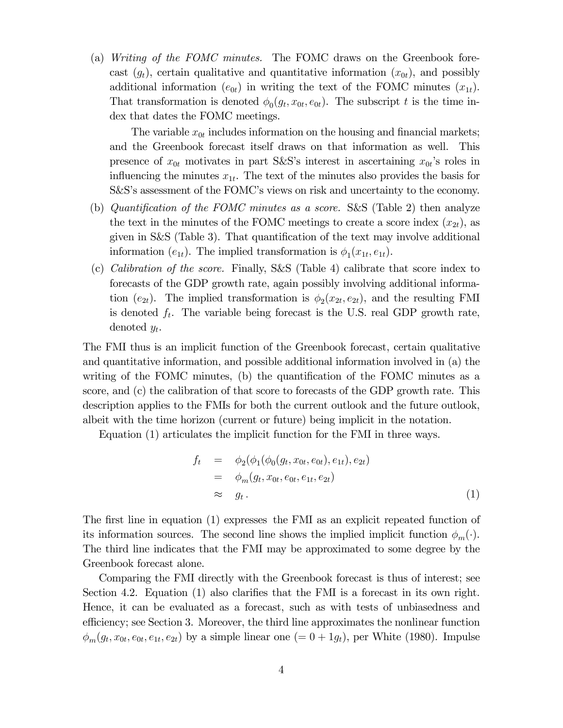(a) Writing of the FOMC minutes. The FOMC draws on the Greenbook forecast  $(g_t)$ , certain qualitative and quantitative information  $(x_{0t})$ , and possibly additional information  $(e_{0t})$  in writing the text of the FOMC minutes  $(x_{1t})$ . That transformation is denoted  $\phi_0(g_t, x_{0t}, e_{0t})$ . The subscript t is the time index that dates the FOMC meetings.

The variable  $x_{0t}$  includes information on the housing and financial markets; and the Greenbook forecast itself draws on that information as well. This presence of  $x_{0t}$  motivates in part S&S's interest in ascertaining  $x_{0t}$ 's roles in influencing the minutes  $x_{1t}$ . The text of the minutes also provides the basis for S&S's assessment of the FOMC's views on risk and uncertainty to the economy.

- (b) Quantification of the FOMC minutes as a score. S&S (Table 2) then analyze the text in the minutes of the FOMC meetings to create a score index  $(x_{2t})$ , as given in S&S (Table 3). That quantification of the text may involve additional information  $(e_{1t})$ . The implied transformation is  $\phi_1(x_{1t}, e_{1t})$ .
- (c) Calibration of the score. Finally, S&S (Table 4) calibrate that score index to forecasts of the GDP growth rate, again possibly involving additional information (e<sub>2t</sub>). The implied transformation is  $\phi_2(x_{2t}, e_{2t})$ , and the resulting FMI is denoted  $f_t$ . The variable being forecast is the U.S. real GDP growth rate, denoted  $y_t$ .

The FMI thus is an implicit function of the Greenbook forecast, certain qualitative and quantitative information, and possible additional information involved in (a) the writing of the FOMC minutes, (b) the quantification of the FOMC minutes as a score, and (c) the calibration of that score to forecasts of the GDP growth rate. This description applies to the FMIs for both the current outlook and the future outlook, albeit with the time horizon (current or future) being implicit in the notation.

Equation (1) articulates the implicit function for the FMI in three ways.

$$
f_t = \phi_2(\phi_1(\phi_0(g_t, x_{0t}, e_{0t}), e_{1t}), e_{2t})
$$
  
\n
$$
= \phi_m(g_t, x_{0t}, e_{0t}, e_{1t}, e_{2t})
$$
  
\n
$$
\approx g_t.
$$
\n(1)

The first line in equation (1) expresses the FMI as an explicit repeated function of its information sources. The second line shows the implied implicit function  $\phi_m(\cdot)$ . The third line indicates that the FMI may be approximated to some degree by the Greenbook forecast alone.

Comparing the FMI directly with the Greenbook forecast is thus of interest; see Section 4.2. Equation (1) also clarifies that the FMI is a forecast in its own right. Hence, it can be evaluated as a forecast, such as with tests of unbiasedness and efficiency; see Section 3. Moreover, the third line approximates the nonlinear function  $\phi_m(g_t, x_{0t}, e_{0t}, e_{1t}, e_{2t})$  by a simple linear one  $(=0+1g_t)$ , per White (1980). Impulse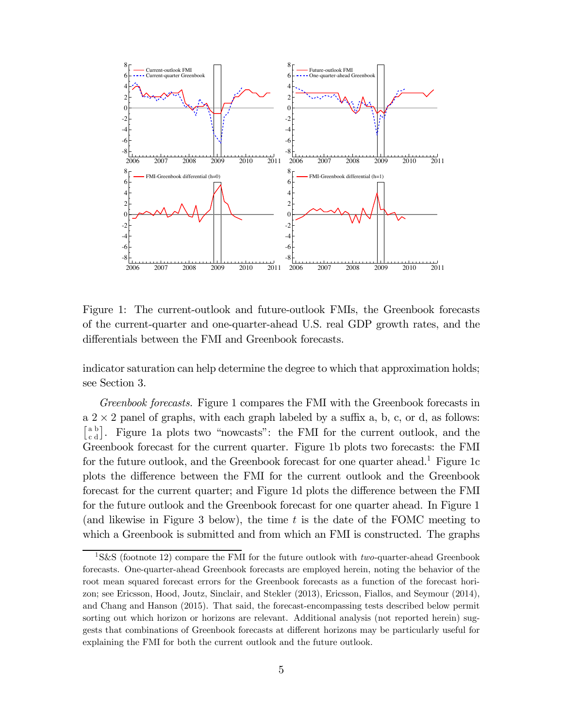

Figure 1: The current-outlook and future-outlook FMIs, the Greenbook forecasts of the current-quarter and one-quarter-ahead U.S. real GDP growth rates, and the differentials between the FMI and Greenbook forecasts.

indicator saturation can help determine the degree to which that approximation holds; see Section 3.

Greenbook forecasts. Figure 1 compares the FMI with the Greenbook forecasts in  $a \, 2 \times 2$  panel of graphs, with each graph labeled by a suffix a, b, c, or d, as follows:  $\begin{bmatrix} \n<sup>a b \\ \n<sup>c d</sup>\n\end{bmatrix}</sup>$ . Figure 1a plots two "nowcasts": the FMI for the current outlook, and the Greenbook forecast for the current quarter. Figure 1b plots two forecasts: the FMI for the future outlook, and the Greenbook forecast for one quarter ahead.<sup>1</sup> Figure 1c plots the difference between the FMI for the current outlook and the Greenbook forecast for the current quarter; and Figure 1d plots the difference between the FMI for the future outlook and the Greenbook forecast for one quarter ahead. In Figure 1 (and likewise in Figure 3 below), the time  $t$  is the date of the FOMC meeting to which a Greenbook is submitted and from which an FMI is constructed. The graphs

<sup>&</sup>lt;sup>1</sup>S&S (footnote 12) compare the FMI for the future outlook with *two*-quarter-ahead Greenbook forecasts. One-quarter-ahead Greenbook forecasts are employed herein, noting the behavior of the root mean squared forecast errors for the Greenbook forecasts as a function of the forecast horizon; see Ericsson, Hood, Joutz, Sinclair, and Stekler (2013), Ericsson, Fiallos, and Seymour (2014), and Chang and Hanson (2015). That said, the forecast-encompassing tests described below permit sorting out which horizon or horizons are relevant. Additional analysis (not reported herein) suggests that combinations of Greenbook forecasts at different horizons may be particularly useful for explaining the FMI for both the current outlook and the future outlook.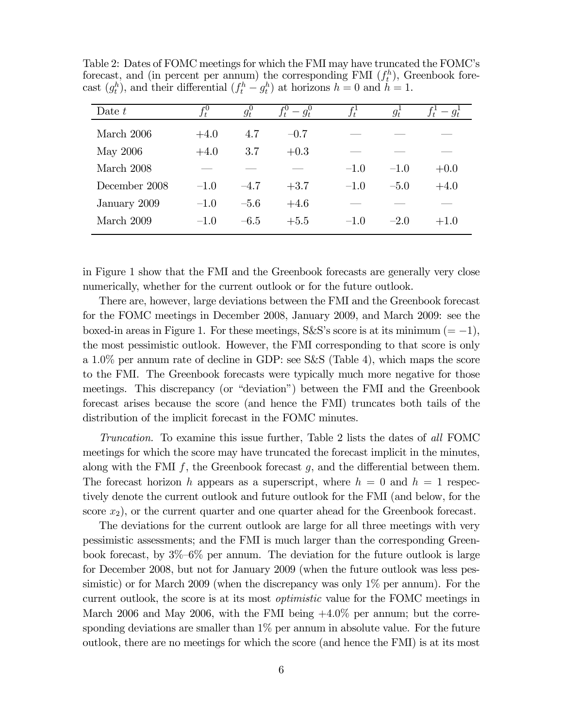| Date $t$        | $f_t^0$ | $g_t^0$ | $f_t^0 - g_t^0$ | $f_t^1$ | $g_t$  | $-g_t$ |
|-----------------|---------|---------|-----------------|---------|--------|--------|
| March 2006      | $+4.0$  | 4.7     | $-0.7$          |         |        |        |
| <b>May 2006</b> | $+4.0$  | 3.7     | $+0.3$          |         |        |        |
| March 2008      |         |         |                 | $-1.0$  | $-1.0$ | $+0.0$ |
| December 2008   | $-1.0$  | $-4.7$  | $+3.7$          | $-1.0$  | $-5.0$ | $+4.0$ |
| January 2009    | $-1.0$  | $-5.6$  | $+4.6$          |         |        |        |
| March 2009      | $-1.0$  | $-6.5$  | $+5.5$          | $-1.0$  | $-2.0$ | $+1.0$ |

Table 2: Dates of FOMC meetings for which the FMI may have truncated the FOMC's forecast, and (in percent per annum) the corresponding FMI  $(f_t^h)$ , Greenbook forecast  $(g_t^h)$ , and their differential  $(f_t^h - g_t^h)$  at horizons  $h = 0$  and  $h = 1$ .

in Figure 1 show that the FMI and the Greenbook forecasts are generally very close numerically, whether for the current outlook or for the future outlook.

There are, however, large deviations between the FMI and the Greenbook forecast for the FOMC meetings in December 2008, January 2009, and March 2009: see the boxed-in areas in Figure 1. For these meetings, S&S's score is at its minimum ( $= -1$ ), the most pessimistic outlook. However, the FMI corresponding to that score is only a  $1.0\%$  per annum rate of decline in GDP: see S&S (Table 4), which maps the score to the FMI. The Greenbook forecasts were typically much more negative for those meetings. This discrepancy (or "deviation") between the FMI and the Greenbook forecast arises because the score (and hence the FMI) truncates both tails of the distribution of the implicit forecast in the FOMC minutes.

Truncation. To examine this issue further, Table 2 lists the dates of all FOMC meetings for which the score may have truncated the forecast implicit in the minutes, along with the FMI  $f$ , the Greenbook forecast  $g$ , and the differential between them. The forecast horizon h appears as a superscript, where  $h = 0$  and  $h = 1$  respectively denote the current outlook and future outlook for the FMI (and below, for the score  $(x_2)$ , or the current quarter and one quarter ahead for the Greenbook forecast.

The deviations for the current outlook are large for all three meetings with very pessimistic assessments; and the FMI is much larger than the corresponding Greenbook forecast, by 3%—6% per annum. The deviation for the future outlook is large for December 2008, but not for January 2009 (when the future outlook was less pessimistic) or for March 2009 (when the discrepancy was only 1% per annum). For the current outlook, the score is at its most optimistic value for the FOMC meetings in March 2006 and May 2006, with the FMI being  $+4.0\%$  per annum; but the corresponding deviations are smaller than  $1\%$  per annum in absolute value. For the future outlook, there are no meetings for which the score (and hence the FMI) is at its most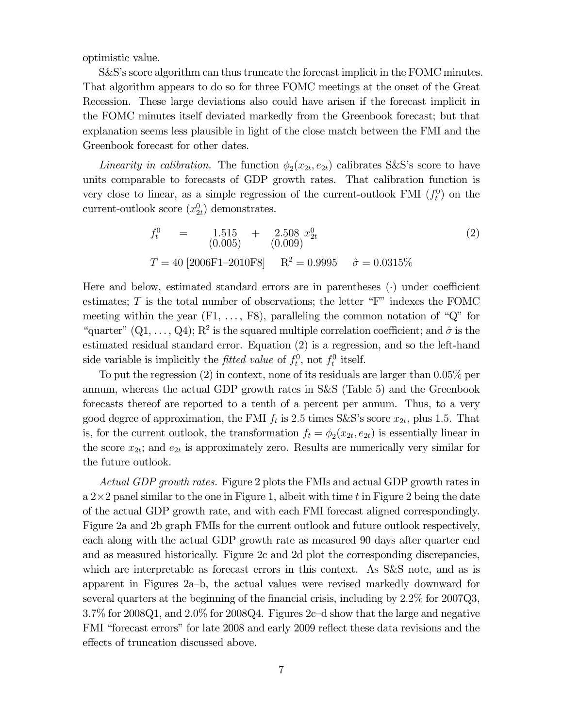optimistic value.

S&S's score algorithm can thus truncate the forecast implicit in the FOMC minutes. That algorithm appears to do so for three FOMC meetings at the onset of the Great Recession. These large deviations also could have arisen if the forecast implicit in the FOMC minutes itself deviated markedly from the Greenbook forecast; but that explanation seems less plausible in light of the close match between the FMI and the Greenbook forecast for other dates.

Linearity in calibration. The function  $\phi_2(x_{2t}, e_{2t})$  calibrates S&S's score to have units comparable to forecasts of GDP growth rates. That calibration function is very close to linear, as a simple regression of the current-outlook FMI  $(f_t^0)$  on the current-outlook score  $(x_{2t}^0)$  demonstrates.

$$
f_t^0 = 1.515 + 2.508 x_{2t}^0
$$
  
(0.005) (0.009)  

$$
T = 40 [2006F1 - 2010F8] \qquad R^2 = 0.9995 \qquad \hat{\sigma} = 0.0315\%
$$
 (2)

Here and below, estimated standard errors are in parentheses  $\left(\cdot\right)$  under coefficient estimates;  $T$  is the total number of observations; the letter "F" indexes the FOMC meeting within the year  $(F1, \ldots, F8)$ , paralleling the common notation of "Q" for "quarter"  $(Q_1, \ldots, Q_4)$ ;  $R^2$  is the squared multiple correlation coefficient; and  $\hat{\sigma}$  is the estimated residual standard error. Equation (2) is a regression, and so the left-hand side variable is implicitly the *fitted value* of  $f_t^0$ , not  $f_t^0$  itself.

To put the regression  $(2)$  in context, none of its residuals are larger than  $0.05\%$  per annum, whereas the actual GDP growth rates in S&S (Table 5) and the Greenbook forecasts thereof are reported to a tenth of a percent per annum. Thus, to a very good degree of approximation, the FMI  $f_t$  is 2.5 times S&S's score  $x_{2t}$ , plus 1.5. That is, for the current outlook, the transformation  $f_t = \phi_2(x_{2t}, e_{2t})$  is essentially linear in the score  $x_{2t}$ ; and  $e_{2t}$  is approximately zero. Results are numerically very similar for the future outlook.

Actual GDP growth rates. Figure 2 plots the FMIs and actual GDP growth rates in  $a 2 \times 2$  panel similar to the one in Figure 1, albeit with time t in Figure 2 being the date of the actual GDP growth rate, and with each FMI forecast aligned correspondingly. Figure 2a and 2b graph FMIs for the current outlook and future outlook respectively, each along with the actual GDP growth rate as measured 90 days after quarter end and as measured historically. Figure 2c and 2d plot the corresponding discrepancies, which are interpretable as forecast errors in this context. As S&S note, and as is apparent in Figures 2a—b, the actual values were revised markedly downward for several quarters at the beginning of the financial crisis, including by  $2.2\%$  for  $2007Q3$ ,  $3.7\%$  for 2008Q1, and  $2.0\%$  for 2008Q4. Figures 2c-d show that the large and negative FMI "forecast errors" for late 2008 and early 2009 reflect these data revisions and the effects of truncation discussed above.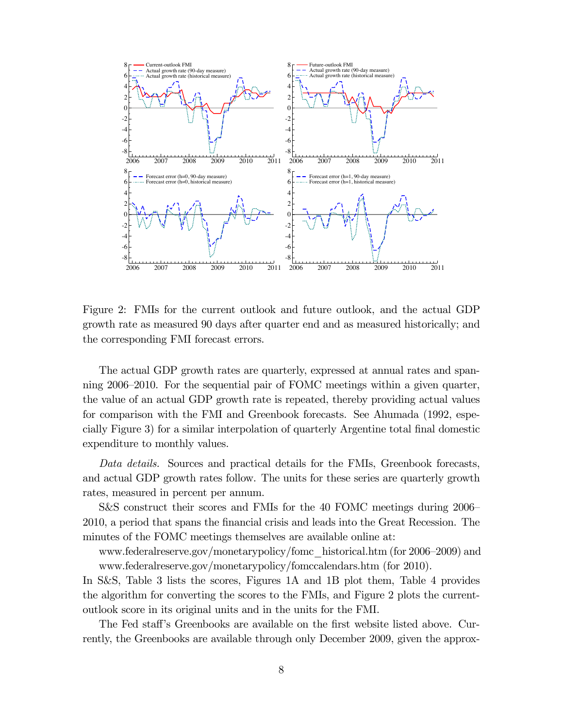

Figure 2: FMIs for the current outlook and future outlook, and the actual GDP growth rate as measured 90 days after quarter end and as measured historically; and the corresponding FMI forecast errors.

The actual GDP growth rates are quarterly, expressed at annual rates and spanning 2006—2010. For the sequential pair of FOMC meetings within a given quarter, the value of an actual GDP growth rate is repeated, thereby providing actual values for comparison with the FMI and Greenbook forecasts. See Ahumada (1992, especially Figure 3) for a similar interpolation of quarterly Argentine total final domestic expenditure to monthly values.

Data details. Sources and practical details for the FMIs, Greenbook forecasts, and actual GDP growth rates follow. The units for these series are quarterly growth rates, measured in percent per annum.

S&S construct their scores and FMIs for the 40 FOMC meetings during 2006— 2010, a period that spans the financial crisis and leads into the Great Recession. The minutes of the FOMC meetings themselves are available online at:

www.federalreserve.gov/monetarypolicy/fomc\_historical.htm (for 2006—2009) and www.federalreserve.gov/monetarypolicy/fomccalendars.htm (for 2010).

In S&S, Table 3 lists the scores, Figures 1A and 1B plot them, Table 4 provides the algorithm for converting the scores to the FMIs, and Figure 2 plots the currentoutlook score in its original units and in the units for the FMI.

The Fed staff's Greenbooks are available on the first website listed above. Currently, the Greenbooks are available through only December 2009, given the approx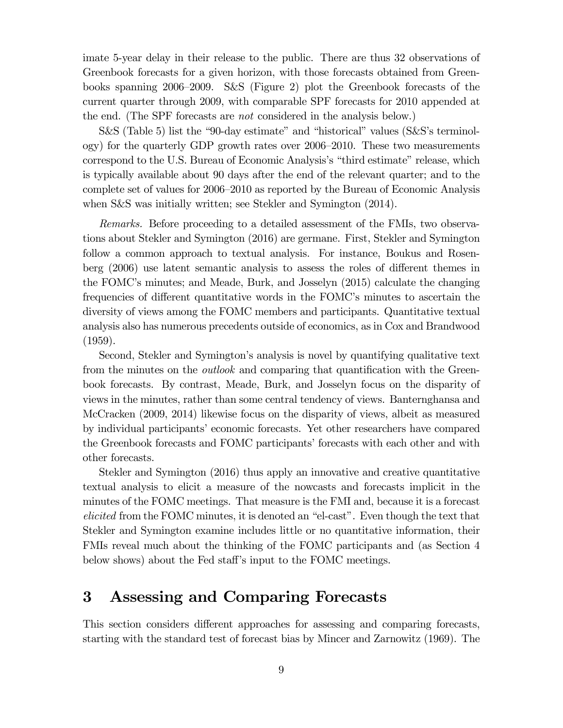imate 5-year delay in their release to the public. There are thus 32 observations of Greenbook forecasts for a given horizon, with those forecasts obtained from Greenbooks spanning 2006—2009. S&S (Figure 2) plot the Greenbook forecasts of the current quarter through 2009, with comparable SPF forecasts for 2010 appended at the end. (The SPF forecasts are not considered in the analysis below.)

S&S (Table 5) list the "90-day estimate" and "historical" values (S&S's terminology) for the quarterly GDP growth rates over 2006—2010. These two measurements correspond to the U.S. Bureau of Economic Analysis's "third estimate" release, which is typically available about 90 days after the end of the relevant quarter; and to the complete set of values for 2006—2010 as reported by the Bureau of Economic Analysis when S&S was initially written; see Stekler and Symington (2014).

Remarks. Before proceeding to a detailed assessment of the FMIs, two observations about Stekler and Symington (2016) are germane. First, Stekler and Symington follow a common approach to textual analysis. For instance, Boukus and Rosenberg (2006) use latent semantic analysis to assess the roles of different themes in the FOMC's minutes; and Meade, Burk, and Josselyn (2015) calculate the changing frequencies of different quantitative words in the FOMC's minutes to ascertain the diversity of views among the FOMC members and participants. Quantitative textual analysis also has numerous precedents outside of economics, as in Cox and Brandwood (1959).

Second, Stekler and Symington's analysis is novel by quantifying qualitative text from the minutes on the *outlook* and comparing that quantification with the Greenbook forecasts. By contrast, Meade, Burk, and Josselyn focus on the disparity of views in the minutes, rather than some central tendency of views. Banternghansa and McCracken (2009, 2014) likewise focus on the disparity of views, albeit as measured by individual participants' economic forecasts. Yet other researchers have compared the Greenbook forecasts and FOMC participants' forecasts with each other and with other forecasts.

Stekler and Symington (2016) thus apply an innovative and creative quantitative textual analysis to elicit a measure of the nowcasts and forecasts implicit in the minutes of the FOMC meetings. That measure is the FMI and, because it is a forecast elicited from the FOMC minutes, it is denoted an "el-cast". Even though the text that Stekler and Symington examine includes little or no quantitative information, their FMIs reveal much about the thinking of the FOMC participants and (as Section 4 below shows) about the Fed staff's input to the FOMC meetings.

### 3 Assessing and Comparing Forecasts

This section considers different approaches for assessing and comparing forecasts, starting with the standard test of forecast bias by Mincer and Zarnowitz (1969). The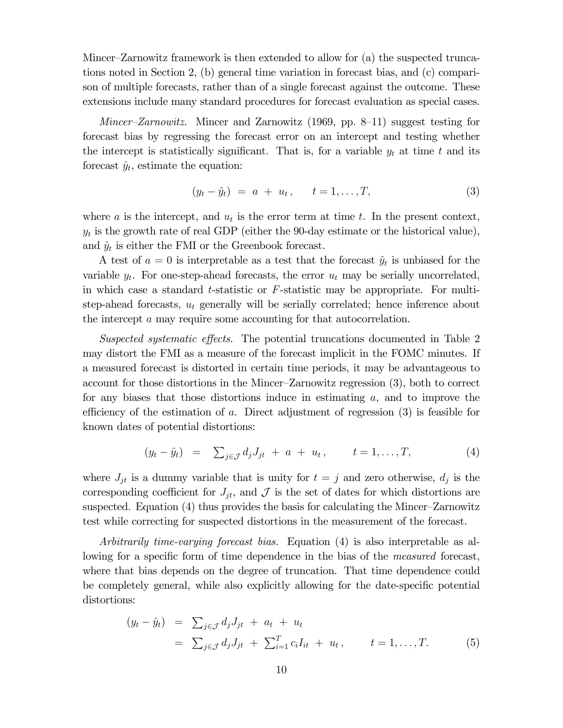Mincer—Zarnowitz framework is then extended to allow for (a) the suspected truncations noted in Section 2, (b) general time variation in forecast bias, and (c) comparison of multiple forecasts, rather than of a single forecast against the outcome. These extensions include many standard procedures for forecast evaluation as special cases.

*Mincer–Zarnowitz.* Mincer and Zarnowitz  $(1969, pp. 8-11)$  suggest testing for forecast bias by regressing the forecast error on an intercept and testing whether the intercept is statistically significant. That is, for a variable  $y_t$  at time t and its forecast  $\hat{y}_t$ , estimate the equation:

$$
(y_t - \hat{y}_t) = a + u_t, \t t = 1, ..., T,
$$
\t(3)

where a is the intercept, and  $u_t$  is the error term at time t. In the present context,  $y_t$  is the growth rate of real GDP (either the 90-day estimate or the historical value), and  $\hat{y}_t$  is either the FMI or the Greenbook forecast.

A test of  $a = 0$  is interpretable as a test that the forecast  $\hat{y}_t$  is unbiased for the variable  $y_t$ . For one-step-ahead forecasts, the error  $u_t$  may be serially uncorrelated, in which case a standard t-statistic or  $F$ -statistic may be appropriate. For multistep-ahead forecasts,  $u_t$  generally will be serially correlated; hence inference about the intercept a may require some accounting for that autocorrelation.

Suspected systematic effects. The potential truncations documented in Table 2 may distort the FMI as a measure of the forecast implicit in the FOMC minutes. If a measured forecast is distorted in certain time periods, it may be advantageous to account for those distortions in the Mincer—Zarnowitz regression (3), both to correct for any biases that those distortions induce in estimating  $a$ , and to improve the efficiency of the estimation of  $a$ . Direct adjustment of regression  $(3)$  is feasible for known dates of potential distortions:

$$
(y_t - \hat{y}_t) = \sum_{j \in \mathcal{J}} d_j J_{jt} + a + u_t, \qquad t = 1, ..., T,
$$
 (4)

where  $J_{jt}$  is a dummy variable that is unity for  $t = j$  and zero otherwise,  $d_j$  is the corresponding coefficient for  $J_{jt}$ , and  $\mathcal J$  is the set of dates for which distortions are suspected. Equation (4) thus provides the basis for calculating the Mincer—Zarnowitz test while correcting for suspected distortions in the measurement of the forecast.

Arbitrarily time-varying forecast bias. Equation (4) is also interpretable as allowing for a specific form of time dependence in the bias of the *measured* forecast, where that bias depends on the degree of truncation. That time dependence could be completely general, while also explicitly allowing for the date-specific potential distortions:

$$
(y_t - \hat{y}_t) = \sum_{j \in \mathcal{J}} d_j J_{jt} + a_t + u_t
$$
  
=  $\sum_{j \in \mathcal{J}} d_j J_{jt} + \sum_{i=1}^T c_i I_{it} + u_t, \qquad t = 1, ..., T.$  (5)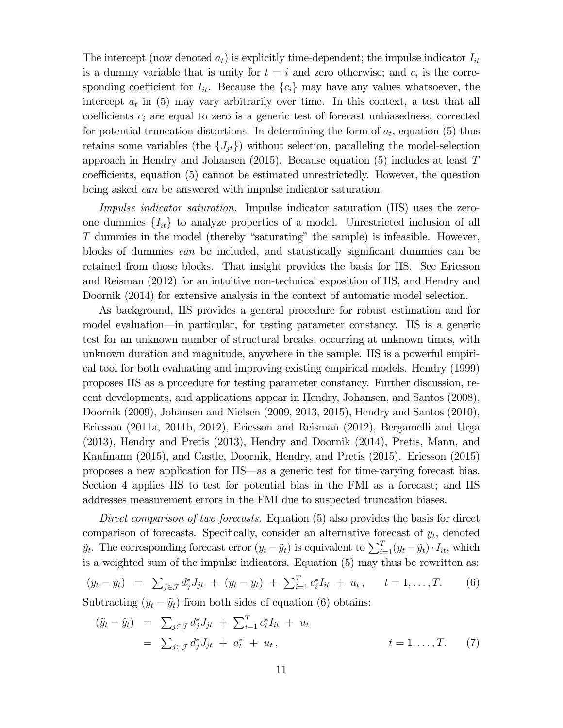The intercept (now denoted  $a_t$ ) is explicitly time-dependent; the impulse indicator  $I_{it}$ is a dummy variable that is unity for  $t = i$  and zero otherwise; and  $c_i$  is the corresponding coefficient for  $I_{it}$ . Because the  ${c_i}$  may have any values whatsoever, the intercept  $a_t$  in (5) may vary arbitrarily over time. In this context, a test that all coefficients  $c_i$  are equal to zero is a generic test of forecast unbiasedness, corrected for potential truncation distortions. In determining the form of  $a_t$ , equation (5) thus retains some variables (the  $\{J_{jt}\}\$ ) without selection, paralleling the model-selection approach in Hendry and Johansen (2015). Because equation (5) includes at least  $T$ coefficients, equation (5) cannot be estimated unrestrictedly. However, the question being asked *can* be answered with impulse indicator saturation.

Impulse indicator saturation. Impulse indicator saturation (IIS) uses the zeroone dummies  ${I_{it}}$  to analyze properties of a model. Unrestricted inclusion of all T dummies in the model (thereby "saturating" the sample) is infeasible. However, blocks of dummies can be included, and statistically significant dummies can be retained from those blocks. That insight provides the basis for IIS. See Ericsson and Reisman (2012) for an intuitive non-technical exposition of IIS, and Hendry and Doornik (2014) for extensive analysis in the context of automatic model selection.

As background, IIS provides a general procedure for robust estimation and for model evaluation–in particular, for testing parameter constancy. IIS is a generic test for an unknown number of structural breaks, occurring at unknown times, with unknown duration and magnitude, anywhere in the sample. IIS is a powerful empirical tool for both evaluating and improving existing empirical models. Hendry (1999) proposes IIS as a procedure for testing parameter constancy. Further discussion, recent developments, and applications appear in Hendry, Johansen, and Santos (2008), Doornik (2009), Johansen and Nielsen (2009, 2013, 2015), Hendry and Santos (2010), Ericsson (2011a, 2011b, 2012), Ericsson and Reisman (2012), Bergamelli and Urga (2013), Hendry and Pretis (2013), Hendry and Doornik (2014), Pretis, Mann, and Kaufmann (2015), and Castle, Doornik, Hendry, and Pretis (2015). Ericsson (2015) proposes a new application for IIS–as a generic test for time-varying forecast bias. Section 4 applies IIS to test for potential bias in the FMI as a forecast; and IIS addresses measurement errors in the FMI due to suspected truncation biases.

Direct comparison of two forecasts. Equation (5) also provides the basis for direct comparison of forecasts. Specifically, consider an alternative forecast of  $y_t$ , denoted  $\tilde{y}_t$ . The corresponding forecast error  $(y_t - \tilde{y}_t)$  is equivalent to  $\sum_{i=1}^T (y_t - \tilde{y}_t) \cdot I_{it}$ , which is a weighted sum of the impulse indicators. Equation (5) may thus be rewritten as:

$$
(y_t - \hat{y}_t) = \sum_{j \in \mathcal{J}} d_j^* J_{jt} + (y_t - \tilde{y}_t) + \sum_{i=1}^T c_i^* I_{it} + u_t, \quad t = 1, ..., T.
$$
 (6)

Subtracting  $(y_t - \tilde{y}_t)$  from both sides of equation (6) obtains:

$$
(\tilde{y}_t - \hat{y}_t) = \sum_{j \in \mathcal{J}} d_j^* J_{jt} + \sum_{i=1}^T c_i^* I_{it} + u_t
$$
  
=  $\sum_{j \in \mathcal{J}} d_j^* J_{jt} + a_t^* + u_t$ , \t\t t = 1,...,T. (7)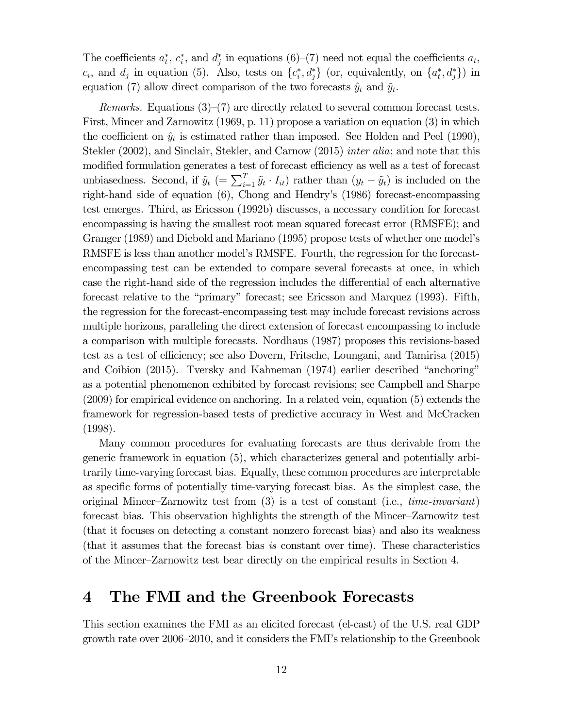The coefficients  $a_t^*$ ,  $c_i^*$ , and  $d_j^*$  in equations (6)–(7) need not equal the coefficients  $a_t$ ,  $c_i$ , and  $d_j$  in equation (5). Also, tests on  $\{c_i^*, d_j^*\}$  (or, equivalently, on  $\{a_t^*, d_j^*\}$ ) in equation (7) allow direct comparison of the two forecasts  $\hat{y}_t$  and  $\tilde{y}_t$ .

*Remarks.* Equations  $(3)-(7)$  are directly related to several common forecast tests. First, Mincer and Zarnowitz (1969, p. 11) propose a variation on equation (3) in which the coefficient on  $\hat{y}_t$  is estimated rather than imposed. See Holden and Peel (1990), Stekler (2002), and Sinclair, Stekler, and Carnow (2015) *inter alia*; and note that this modified formulation generates a test of forecast efficiency as well as a test of forecast unbiasedness. Second, if  $\tilde{y}_t$  (=  $\sum_{i=1}^T \tilde{y}_t \cdot I_{it}$ ) rather than  $(y_t - \tilde{y}_t)$  is included on the right-hand side of equation (6), Chong and Hendry's (1986) forecast-encompassing test emerges. Third, as Ericsson (1992b) discusses, a necessary condition for forecast encompassing is having the smallest root mean squared forecast error (RMSFE); and Granger (1989) and Diebold and Mariano (1995) propose tests of whether one model's RMSFE is less than another model's RMSFE. Fourth, the regression for the forecastencompassing test can be extended to compare several forecasts at once, in which case the right-hand side of the regression includes the differential of each alternative forecast relative to the "primary" forecast; see Ericsson and Marquez (1993). Fifth, the regression for the forecast-encompassing test may include forecast revisions across multiple horizons, paralleling the direct extension of forecast encompassing to include a comparison with multiple forecasts. Nordhaus (1987) proposes this revisions-based test as a test of efficiency; see also Dovern, Fritsche, Loungani, and Tamirisa (2015) and Coibion (2015). Tversky and Kahneman (1974) earlier described "anchoring" as a potential phenomenon exhibited by forecast revisions; see Campbell and Sharpe (2009) for empirical evidence on anchoring. In a related vein, equation (5) extends the framework for regression-based tests of predictive accuracy in West and McCracken (1998).

Many common procedures for evaluating forecasts are thus derivable from the generic framework in equation (5), which characterizes general and potentially arbitrarily time-varying forecast bias. Equally, these common procedures are interpretable as specific forms of potentially time-varying forecast bias. As the simplest case, the original Mincer-Zarnowitz test from  $(3)$  is a test of constant (i.e., *time-invariant*) forecast bias. This observation highlights the strength of the Mincer—Zarnowitz test (that it focuses on detecting a constant nonzero forecast bias) and also its weakness (that it assumes that the forecast bias is constant over time). These characteristics of the Mincer—Zarnowitz test bear directly on the empirical results in Section 4.

### 4 The FMI and the Greenbook Forecasts

This section examines the FMI as an elicited forecast (el-cast) of the U.S. real GDP growth rate over 2006—2010, and it considers the FMI's relationship to the Greenbook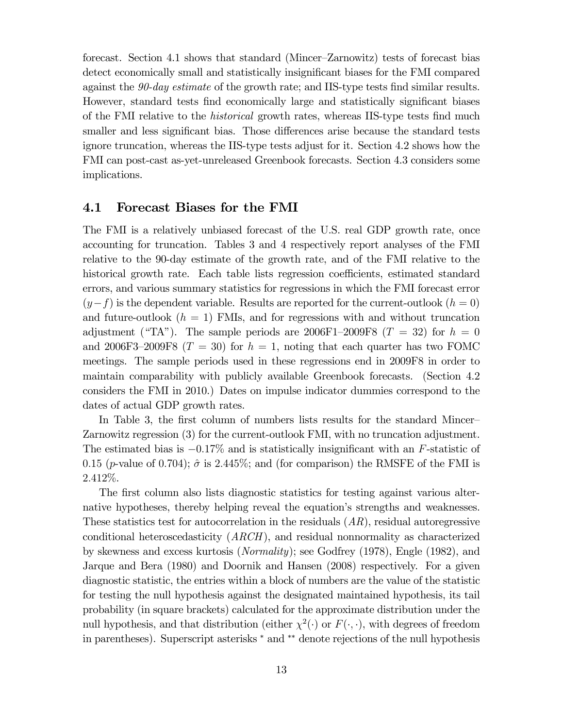forecast. Section 4.1 shows that standard (Mincer—Zarnowitz) tests of forecast bias detect economically small and statistically insignificant biases for the FMI compared against the 90-day estimate of the growth rate; and IIS-type tests find similar results. However, standard tests find economically large and statistically significant biases of the FMI relative to the historical growth rates, whereas IIS-type tests find much smaller and less significant bias. Those differences arise because the standard tests ignore truncation, whereas the IIS-type tests adjust for it. Section 4.2 shows how the FMI can post-cast as-yet-unreleased Greenbook forecasts. Section 4.3 considers some implications.

#### 4.1 Forecast Biases for the FMI

The FMI is a relatively unbiased forecast of the U.S. real GDP growth rate, once accounting for truncation. Tables 3 and 4 respectively report analyses of the FMI relative to the 90-day estimate of the growth rate, and of the FMI relative to the historical growth rate. Each table lists regression coefficients, estimated standard errors, and various summary statistics for regressions in which the FMI forecast error  $(y-f)$  is the dependent variable. Results are reported for the current-outlook  $(h = 0)$ and future-outlook  $(h = 1)$  FMIs, and for regressions with and without truncation adjustment ("TA"). The sample periods are  $2006F1-2009F8$  ( $T = 32$ ) for  $h = 0$ and 2006F3-2009F8 ( $T = 30$ ) for  $h = 1$ , noting that each quarter has two FOMC meetings. The sample periods used in these regressions end in 2009F8 in order to maintain comparability with publicly available Greenbook forecasts. (Section 4.2 considers the FMI in 2010.) Dates on impulse indicator dummies correspond to the dates of actual GDP growth rates.

In Table 3, the first column of numbers lists results for the standard Mincer— Zarnowitz regression (3) for the current-outlook FMI, with no truncation adjustment. The estimated bias is  $-0.17\%$  and is statistically insignificant with an F-statistic of 0.15 (p-value of 0.704);  $\hat{\sigma}$  is 2.445%; and (for comparison) the RMSFE of the FMI is  $2.412\%$ .

The first column also lists diagnostic statistics for testing against various alternative hypotheses, thereby helping reveal the equation's strengths and weaknesses. These statistics test for autocorrelation in the residuals  $(AR)$ , residual autoregressive conditional heteroscedasticity (ARCH), and residual nonnormality as characterized by skewness and excess kurtosis (Normality); see Godfrey (1978), Engle (1982), and Jarque and Bera (1980) and Doornik and Hansen (2008) respectively. For a given diagnostic statistic, the entries within a block of numbers are the value of the statistic for testing the null hypothesis against the designated maintained hypothesis, its tail probability (in square brackets) calculated for the approximate distribution under the null hypothesis, and that distribution (either  $\chi^2(\cdot)$  or  $F(\cdot, \cdot)$ , with degrees of freedom in parentheses). Superscript asterisks <sup>∗</sup> and ∗∗ denote rejections of the null hypothesis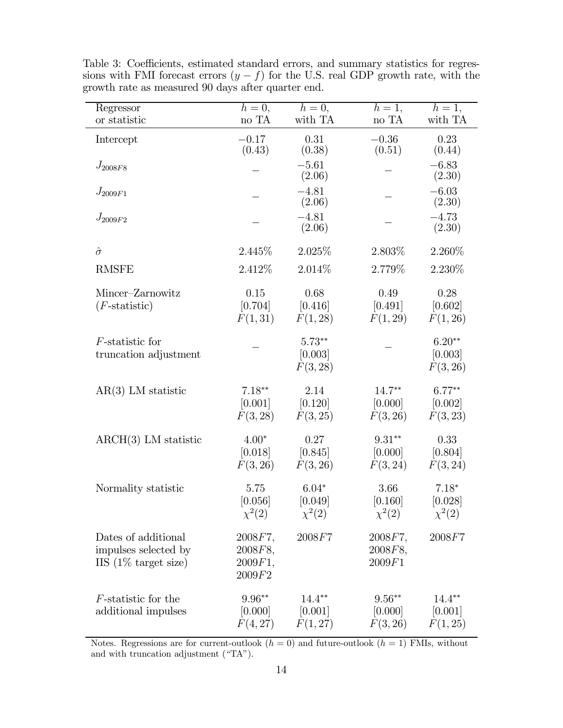| Regressor                                                                      | $h=0,$                                  | $h=0,$                            | $h=1,$                           | $h=1,$                            |
|--------------------------------------------------------------------------------|-----------------------------------------|-----------------------------------|----------------------------------|-----------------------------------|
| or statistic                                                                   | no TA                                   | with TA                           | no TA                            | with TA                           |
| Intercept                                                                      | $-0.17$<br>(0.43)                       | 0.31<br>(0.38)                    | $-0.36$<br>(0.51)                | 0.23<br>(0.44)                    |
| $J_{2008F8}$                                                                   |                                         | $-5.61$<br>(2.06)                 |                                  | $-6.83$<br>(2.30)                 |
| $J_{2009F1}$                                                                   |                                         | $-4.81$<br>(2.06)                 |                                  | $-6.03$<br>(2.30)                 |
| $J_{2009F2}$                                                                   |                                         | $-4.81$<br>(2.06)                 |                                  | $-4.73$<br>(2.30)                 |
| $\hat{\sigma}$                                                                 | 2.445\%                                 | 2.025\%                           | 2.803\%                          | 2.260\%                           |
| <b>RMSFE</b>                                                                   | 2.412\%                                 | 2.014\%                           | 2.779%                           | 2.230%                            |
| Mincer-Zarnowitz<br>$(F\text{-statistic})$                                     | 0.15<br>[0.704]<br>F(1,31)              | 0.68<br>[0.416]<br>F(1, 28)       | 0.49<br>[0.491]<br>F(1, 29)      | 0.28<br>[0.602]<br>F(1, 26)       |
| $F$ -statistic for<br>truncation adjustment                                    |                                         | $5.73**$<br>[0.003]<br>F(3, 28)   |                                  | $6.20**$<br>[0.003]<br>F(3, 26)   |
| $AR(3)$ LM statistic                                                           | $7.18**$<br>[0.001]<br>F(3, 28)         | 2.14<br>[0.120]<br>F(3, 25)       | $14.7***$<br>[0.000]<br>F(3, 26) | $6.77**$<br>[0.002]<br>F(3, 23)   |
| $\text{ARCH}(3)$ LM statistic                                                  | $4.00*$<br>[0.018]<br>F(3, 26)          | 0.27<br>[0.845]<br>F(3, 26)       | $9.31**$<br>[0.000]<br>F(3, 24)  | 0.33<br>[0.804]<br>F(3, 24)       |
| Normality statistic                                                            | 5.75<br>[0.056]<br>$\chi^2(2)$          | $6.04*$<br>[0.049]<br>$\chi^2(2)$ | 3.66<br>[0.160]<br>$\chi^2(2)$   | $7.18*$<br>[0.028]<br>$\chi^2(2)$ |
| Dates of additional<br>impulses selected by<br>IIS $(1\% \text{ target size})$ | 2008F7,<br>2008F8,<br>2009F1,<br>2009F2 | 2008F7                            | 2008F7,<br>2008F8,<br>2009F1     | 2008F7                            |
| <i>F</i> -statistic for the<br>additional impulses                             | $9.96**$<br>[0.000]<br>F(4,27)          | $14.4**$<br>[0.001]<br>F(1, 27)   | $9.56**$<br>[0.000]<br>F(3, 26)  | $14.4**$<br>[0.001]<br>F(1, 25)   |

Table 3: Coefficients, estimated standard errors, and summary statistics for regressions with FMI forecast errors  $(y - f)$  for the U.S. real GDP growth rate, with the growth rate as measured 90 days after quarter end.

Notes. Regressions are for current-outlook  $(h = 0)$  and future-outlook  $(h = 1)$  FMIs, without and with truncation adjustment ("TA").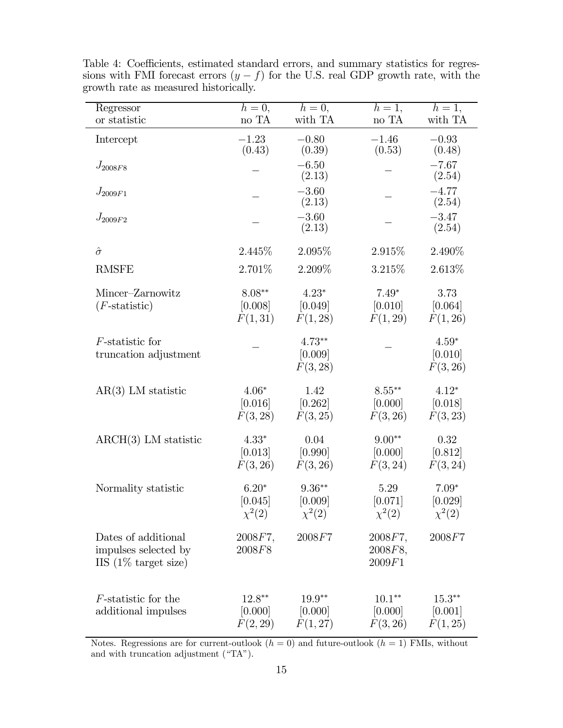| Regressor                                                                      | $h=\overline{0,}$                 | $h=0,$                             | $h=1,$                           | $h=1,$                            |
|--------------------------------------------------------------------------------|-----------------------------------|------------------------------------|----------------------------------|-----------------------------------|
| or statistic                                                                   | no TA                             | with TA                            | no TA                            | with TA                           |
| Intercept                                                                      | $-1.23$<br>(0.43)                 | $-0.80$<br>(0.39)                  | $-1.46$<br>(0.53)                | $-0.93$<br>(0.48)                 |
| $J_{2008F8}$                                                                   |                                   | $-6.50$<br>(2.13)                  |                                  | $-7.67$<br>(2.54)                 |
| $J_{2009F1}$                                                                   |                                   | $-3.60$<br>(2.13)                  |                                  | $-4.77$<br>(2.54)                 |
| $J_{2009F2}$                                                                   |                                   | $-3.60$<br>(2.13)                  |                                  | $-3.47$<br>(2.54)                 |
| $\hat{\sigma}$                                                                 | 2.445\%                           | 2.095%                             | 2.915\%                          | 2.490%                            |
| <b>RMSFE</b>                                                                   | 2.701\%                           | 2.209%                             | 3.215\%                          | $2.613\%$                         |
| Mincer-Zarnowitz<br>$(F\text{-statistic})$                                     | $8.08**$<br>[0.008]<br>F(1,31)    | $4.23*$<br>[0.049]<br>F(1, 28)     | $7.49*$<br>[0.010]<br>F(1, 29)   | 3.73<br>[0.064]<br>F(1, 26)       |
| $F$ -statistic for<br>truncation adjustment                                    |                                   | $4.73**$<br>[0.009]<br>F(3, 28)    |                                  | $4.59*$<br>[0.010]<br>F(3, 26)    |
| $AR(3)$ LM statistic                                                           | $4.06*$<br>[0.016]<br>F(3, 28)    | 1.42<br>[0.262]<br>F(3, 25)        | $8.55***$<br>[0.000]<br>F(3, 26) | $4.12*$<br>[0.018]<br>F(3, 23)    |
| $\text{ARCH}(3)$ LM statistic                                                  | $4.33*$<br>[0.013]<br>F(3, 26)    | 0.04<br>[0.990]<br>F(3, 26)        | $9.00**$<br>[0.000]<br>F(3, 24)  | 0.32<br>[0.812]<br>F(3, 24)       |
| Normality statistic                                                            | $6.20*$<br>[0.045]<br>$\chi^2(2)$ | $9.36**$<br>[0.009]<br>$\chi^2(2)$ | 5.29<br>[0.071]<br>$\chi^2(2)$   | $7.09*$<br>[0.029]<br>$\chi^2(2)$ |
| Dates of additional<br>impulses selected by<br>IIS $(1\% \text{ target size})$ | 2008F7,<br>2008F8                 | 2008F7                             | 2008F7,<br>2008F8,<br>2009F1     | 2008F7                            |
| <i>F</i> -statistic for the<br>additional impulses                             | $12.8**$<br>[0.000]<br>F(2, 29)   | $19.9**$<br>[0.000]<br>F(1, 27)    | $10.1**$<br>[0.000]<br>F(3, 26)  | $15.3**$<br>[0.001]<br>F(1, 25)   |

Table 4: Coefficients, estimated standard errors, and summary statistics for regressions with FMI forecast errors  $(y - f)$  for the U.S. real GDP growth rate, with the growth rate as measured historically.

Notes. Regressions are for current-outlook  $(h = 0)$  and future-outlook  $(h = 1)$  FMIs, without and with truncation adjustment ("TA").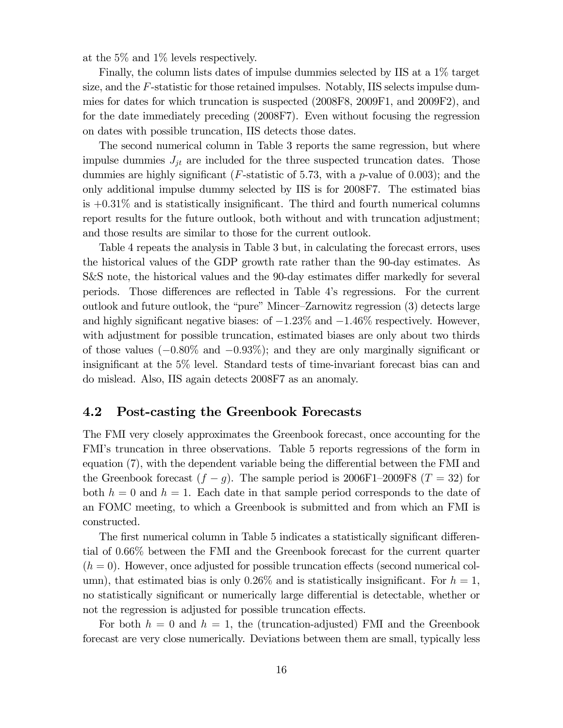at the 5% and 1% levels respectively.

Finally, the column lists dates of impulse dummies selected by IIS at a 1% target size, and the  $F$ -statistic for those retained impulses. Notably, IIS selects impulse dummies for dates for which truncation is suspected (2008F8, 2009F1, and 2009F2), and for the date immediately preceding (2008F7). Even without focusing the regression on dates with possible truncation, IIS detects those dates.

The second numerical column in Table 3 reports the same regression, but where impulse dummies  $J_{jt}$  are included for the three suspected truncation dates. Those dummies are highly significant (F-statistic of 5.73, with a p-value of 0.003); and the only additional impulse dummy selected by IIS is for 2008F7. The estimated bias is  $+0.31\%$  and is statistically insignificant. The third and fourth numerical columns report results for the future outlook, both without and with truncation adjustment; and those results are similar to those for the current outlook.

Table 4 repeats the analysis in Table 3 but, in calculating the forecast errors, uses the historical values of the GDP growth rate rather than the 90-day estimates. As S&S note, the historical values and the 90-day estimates differ markedly for several periods. Those differences are reflected in Table 4's regressions. For the current outlook and future outlook, the "pure" Mincer—Zarnowitz regression (3) detects large and highly significant negative biases: of  $-1.23\%$  and  $-1.46\%$  respectively. However, with adjustment for possible truncation, estimated biases are only about two thirds of those values  $(-0.80\%$  and  $-0.93\%$ ); and they are only marginally significant or insignificant at the 5% level. Standard tests of time-invariant forecast bias can and do mislead. Also, IIS again detects 2008F7 as an anomaly.

#### 4.2 Post-casting the Greenbook Forecasts

The FMI very closely approximates the Greenbook forecast, once accounting for the FMI's truncation in three observations. Table 5 reports regressions of the form in equation (7), with the dependent variable being the differential between the FMI and the Greenbook forecast  $(f - g)$ . The sample period is 2006F1–2009F8  $(T = 32)$  for both  $h = 0$  and  $h = 1$ . Each date in that sample period corresponds to the date of an FOMC meeting, to which a Greenbook is submitted and from which an FMI is constructed.

The first numerical column in Table 5 indicates a statistically significant differential of 0.66% between the FMI and the Greenbook forecast for the current quarter  $(h = 0)$ . However, once adjusted for possible truncation effects (second numerical column), that estimated bias is only 0.26% and is statistically insignificant. For  $h = 1$ , no statistically significant or numerically large differential is detectable, whether or not the regression is adjusted for possible truncation effects.

For both  $h = 0$  and  $h = 1$ , the (truncation-adjusted) FMI and the Greenbook forecast are very close numerically. Deviations between them are small, typically less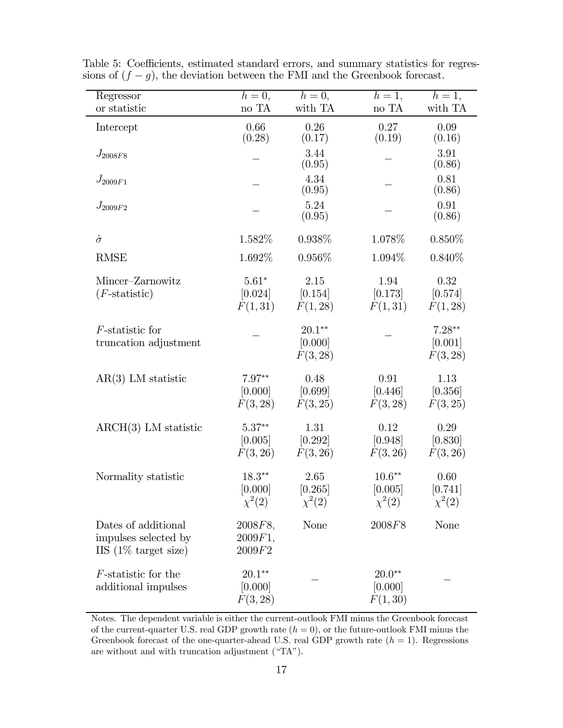| Regressor                                                                      | $h=0,$                              | $h=0,$                          | $h=1,$                              | $h=1,$                          |
|--------------------------------------------------------------------------------|-------------------------------------|---------------------------------|-------------------------------------|---------------------------------|
| or statistic                                                                   | no TA                               | with TA                         | $\rm no~TA$                         | with TA                         |
| Intercept                                                                      | 0.66<br>(0.28)                      | 0.26<br>(0.17)                  | 0.27<br>(0.19)                      | 0.09<br>(0.16)                  |
| $J_{2008F8}$                                                                   |                                     | 3.44<br>(0.95)                  |                                     | 3.91<br>(0.86)                  |
| $J_{2009F1}$                                                                   |                                     | 4.34<br>(0.95)                  |                                     | 0.81<br>(0.86)                  |
| $J_{2009F2}$                                                                   |                                     | 5.24<br>(0.95)                  |                                     | 0.91<br>(0.86)                  |
| $\hat{\sigma}$                                                                 | 1.582%                              | 0.938%                          | 1.078%                              | $0.850\%$                       |
| <b>RMSE</b>                                                                    | 1.692%                              | 0.956%                          | 1.094\%                             | $0.840\%$                       |
| Mincer-Zarnowitz<br>$(F\text{-statistic})$                                     | $5.61*$<br>[0.024]<br>F(1,31)       | 2.15<br>[0.154]<br>F(1, 28)     | 1.94<br>[0.173]<br>F(1,31)          | 0.32<br>[0.574]<br>F(1, 28)     |
| $F$ -statistic for<br>truncation adjustment                                    |                                     | $20.1**$<br>[0.000]<br>F(3, 28) |                                     | $7.28**$<br>[0.001]<br>F(3, 28) |
| $AR(3)$ LM statistic                                                           | $7.97**$<br>[0.000]<br>F(3, 28)     | 0.48<br>[0.699]<br>F(3, 25)     | 0.91<br>[0.446]<br>F(3, 28)         | 1.13<br>[0.356]<br>F(3, 25)     |
| $\text{ARCH}(3)$ LM statistic                                                  | $5.37**$<br>[0.005]<br>F(3, 26)     | 1.31<br>[0.292]<br>F(3, 26)     | 0.12<br>[0.948]<br>F(3, 26)         | 0.29<br>[0.830]<br>F(3, 26)     |
| Normality statistic                                                            | $18.3***$<br>[0.000]<br>$\chi^2(2)$ | 2.65<br>[0.265]<br>$\chi^2(2)$  | $10.6***$<br>[0.005]<br>$\chi^2(2)$ | 0.60<br>[0.741]<br>$\chi^2(2)$  |
| Dates of additional<br>impulses selected by<br>IIS $(1\% \text{ target size})$ | 2008F8,<br>2009F1,<br>2009F2        | <b>None</b>                     | 2008F8                              | None                            |
| $F$ -statistic for the<br>additional impulses                                  | $20.1***$<br>[0.000]<br>F(3, 28)    |                                 | $20.0**$<br>[0.000]<br>F(1, 30)     |                                 |

Table 5: Coefficients, estimated standard errors, and summary statistics for regressions of  $(f - g)$ , the deviation between the FMI and the Greenbook forecast.

Notes. The dependent variable is either the current-outlook FMI minus the Greenbook forecast of the current-quarter U.S. real GDP growth rate  $(h = 0)$ , or the future-outlook FMI minus the Greenbook forecast of the one-quarter-ahead U.S. real GDP growth rate  $(h = 1)$ . Regressions are without and with truncation adjustment ("TA").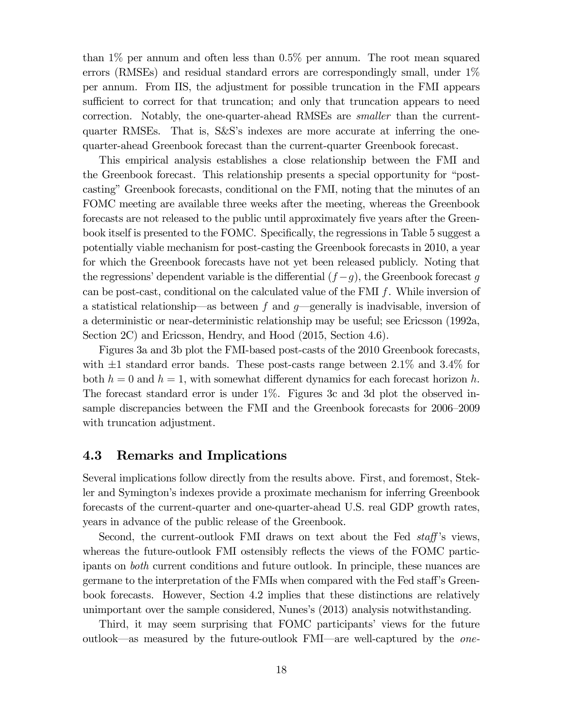than  $1\%$  per annum and often less than  $0.5\%$  per annum. The root mean squared errors (RMSEs) and residual standard errors are correspondingly small, under 1% per annum. From IIS, the adjustment for possible truncation in the FMI appears sufficient to correct for that truncation; and only that truncation appears to need correction. Notably, the one-quarter-ahead RMSEs are smaller than the currentquarter RMSEs. That is, S&S's indexes are more accurate at inferring the onequarter-ahead Greenbook forecast than the current-quarter Greenbook forecast.

This empirical analysis establishes a close relationship between the FMI and the Greenbook forecast. This relationship presents a special opportunity for "postcasting" Greenbook forecasts, conditional on the FMI, noting that the minutes of an FOMC meeting are available three weeks after the meeting, whereas the Greenbook forecasts are not released to the public until approximately five years after the Greenbook itself is presented to the FOMC. Specifically, the regressions in Table 5 suggest a potentially viable mechanism for post-casting the Greenbook forecasts in 2010, a year for which the Greenbook forecasts have not yet been released publicly. Noting that the regressions' dependent variable is the differential  $(f - g)$ , the Greenbook forecast g can be post-cast, conditional on the calculated value of the FMI  $f$ . While inversion of a statistical relationship—as between f and  $q$ —generally is inadvisable, inversion of a deterministic or near-deterministic relationship may be useful; see Ericsson (1992a, Section 2C) and Ericsson, Hendry, and Hood (2015, Section 4.6).

Figures 3a and 3b plot the FMI-based post-casts of the 2010 Greenbook forecasts, with  $\pm 1$  standard error bands. These post-casts range between 2.1% and 3.4% for both  $h = 0$  and  $h = 1$ , with somewhat different dynamics for each forecast horizon h. The forecast standard error is under 1%. Figures 3c and 3d plot the observed insample discrepancies between the FMI and the Greenbook forecasts for 2006—2009 with truncation adjustment.

#### 4.3 Remarks and Implications

Several implications follow directly from the results above. First, and foremost, Stekler and Symington's indexes provide a proximate mechanism for inferring Greenbook forecasts of the current-quarter and one-quarter-ahead U.S. real GDP growth rates, years in advance of the public release of the Greenbook.

Second, the current-outlook FMI draws on text about the Fed *staff*'s views, whereas the future-outlook FMI ostensibly reflects the views of the FOMC participants on both current conditions and future outlook. In principle, these nuances are germane to the interpretation of the FMIs when compared with the Fed staff's Greenbook forecasts. However, Section 4.2 implies that these distinctions are relatively unimportant over the sample considered, Nunes's (2013) analysis notwithstanding.

Third, it may seem surprising that FOMC participants' views for the future outlook–as measured by the future-outlook FMI–are well-captured by the one-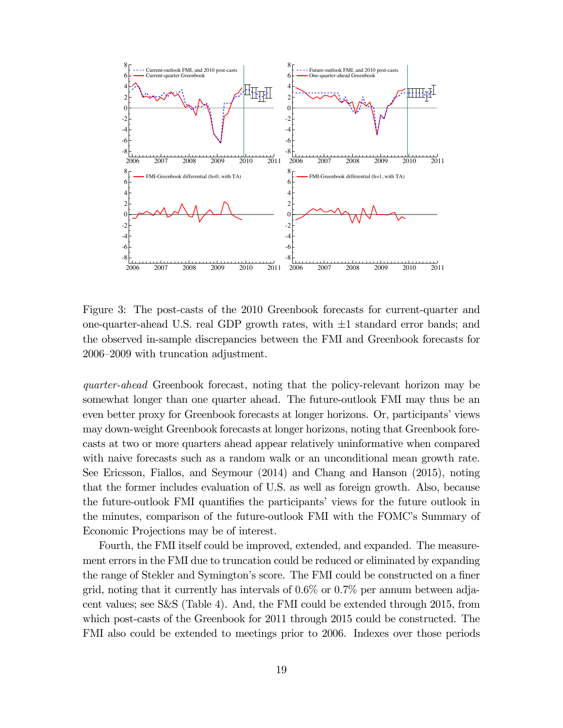

Figure 3: The post-casts of the 2010 Greenbook forecasts for current-quarter and one-quarter-ahead U.S. real GDP growth rates, with  $\pm 1$  standard error bands; and the observed in-sample discrepancies between the FMI and Greenbook forecasts for 2006—2009 with truncation adjustment.

quarter-ahead Greenbook forecast, noting that the policy-relevant horizon may be somewhat longer than one quarter ahead. The future-outlook FMI may thus be an even better proxy for Greenbook forecasts at longer horizons. Or, participants' views may down-weight Greenbook forecasts at longer horizons, noting that Greenbook forecasts at two or more quarters ahead appear relatively uninformative when compared with naive forecasts such as a random walk or an unconditional mean growth rate. See Ericsson, Fiallos, and Seymour (2014) and Chang and Hanson (2015), noting that the former includes evaluation of U.S. as well as foreign growth. Also, because the future-outlook FMI quantifies the participants' views for the future outlook in the minutes, comparison of the future-outlook FMI with the FOMC's Summary of Economic Projections may be of interest.

Fourth, the FMI itself could be improved, extended, and expanded. The measurement errors in the FMI due to truncation could be reduced or eliminated by expanding the range of Stekler and Symington's score. The FMI could be constructed on a finer grid, noting that it currently has intervals of  $0.6\%$  or  $0.7\%$  per annum between adjacent values; see S&S (Table 4). And, the FMI could be extended through 2015, from which post-casts of the Greenbook for 2011 through 2015 could be constructed. The FMI also could be extended to meetings prior to 2006. Indexes over those periods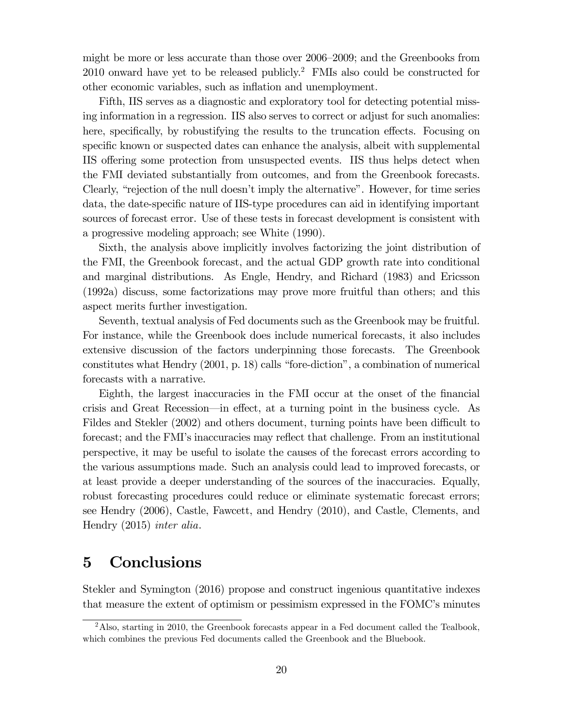might be more or less accurate than those over 2006—2009; and the Greenbooks from  $2010$  onward have yet to be released publicly.<sup>2</sup> FMIs also could be constructed for other economic variables, such as inflation and unemployment.

Fifth, IIS serves as a diagnostic and exploratory tool for detecting potential missing information in a regression. IIS also serves to correct or adjust for such anomalies: here, specifically, by robustifying the results to the truncation effects. Focusing on specific known or suspected dates can enhance the analysis, albeit with supplemental IIS offering some protection from unsuspected events. IIS thus helps detect when the FMI deviated substantially from outcomes, and from the Greenbook forecasts. Clearly, "rejection of the null doesn't imply the alternative". However, for time series data, the date-specific nature of IIS-type procedures can aid in identifying important sources of forecast error. Use of these tests in forecast development is consistent with a progressive modeling approach; see White (1990).

Sixth, the analysis above implicitly involves factorizing the joint distribution of the FMI, the Greenbook forecast, and the actual GDP growth rate into conditional and marginal distributions. As Engle, Hendry, and Richard (1983) and Ericsson (1992a) discuss, some factorizations may prove more fruitful than others; and this aspect merits further investigation.

Seventh, textual analysis of Fed documents such as the Greenbook may be fruitful. For instance, while the Greenbook does include numerical forecasts, it also includes extensive discussion of the factors underpinning those forecasts. The Greenbook constitutes what Hendry (2001, p. 18) calls "fore-diction", a combination of numerical forecasts with a narrative.

Eighth, the largest inaccuracies in the FMI occur at the onset of the financial crisis and Great Recession–in effect, at a turning point in the business cycle. As Fildes and Stekler (2002) and others document, turning points have been difficult to forecast; and the FMI's inaccuracies may reflect that challenge. From an institutional perspective, it may be useful to isolate the causes of the forecast errors according to the various assumptions made. Such an analysis could lead to improved forecasts, or at least provide a deeper understanding of the sources of the inaccuracies. Equally, robust forecasting procedures could reduce or eliminate systematic forecast errors; see Hendry (2006), Castle, Fawcett, and Hendry (2010), and Castle, Clements, and Hendry (2015) inter alia.

# 5 Conclusions

Stekler and Symington (2016) propose and construct ingenious quantitative indexes that measure the extent of optimism or pessimism expressed in the FOMC's minutes

 $2$ Also, starting in 2010, the Greenbook forecasts appear in a Fed document called the Tealbook, which combines the previous Fed documents called the Greenbook and the Bluebook.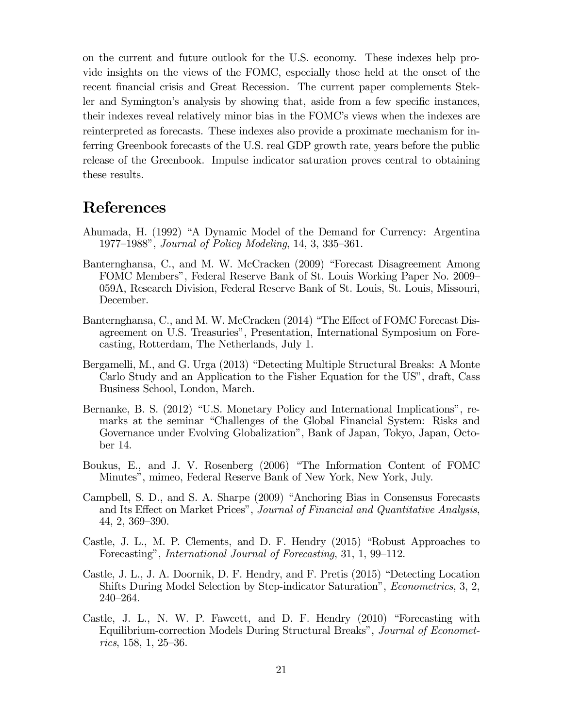on the current and future outlook for the U.S. economy. These indexes help provide insights on the views of the FOMC, especially those held at the onset of the recent financial crisis and Great Recession. The current paper complements Stekler and Symington's analysis by showing that, aside from a few specific instances, their indexes reveal relatively minor bias in the FOMC's views when the indexes are reinterpreted as forecasts. These indexes also provide a proximate mechanism for inferring Greenbook forecasts of the U.S. real GDP growth rate, years before the public release of the Greenbook. Impulse indicator saturation proves central to obtaining these results.

### References

- Ahumada, H. (1992) "A Dynamic Model of the Demand for Currency: Argentina 1977—1988", Journal of Policy Modeling, 14, 3, 335—361.
- Banternghansa, C., and M. W. McCracken (2009) "Forecast Disagreement Among FOMC Members", Federal Reserve Bank of St. Louis Working Paper No. 2009— 059A, Research Division, Federal Reserve Bank of St. Louis, St. Louis, Missouri, December.
- Banternghansa, C., and M. W. McCracken (2014) "The Effect of FOMC Forecast Disagreement on U.S. Treasuries", Presentation, International Symposium on Forecasting, Rotterdam, The Netherlands, July 1.
- Bergamelli, M., and G. Urga (2013) "Detecting Multiple Structural Breaks: A Monte Carlo Study and an Application to the Fisher Equation for the US", draft, Cass Business School, London, March.
- Bernanke, B. S. (2012) "U.S. Monetary Policy and International Implications", remarks at the seminar "Challenges of the Global Financial System: Risks and Governance under Evolving Globalization", Bank of Japan, Tokyo, Japan, October 14.
- Boukus, E., and J. V. Rosenberg (2006) "The Information Content of FOMC Minutes", mimeo, Federal Reserve Bank of New York, New York, July.
- Campbell, S. D., and S. A. Sharpe (2009) "Anchoring Bias in Consensus Forecasts and Its Effect on Market Prices", Journal of Financial and Quantitative Analysis, 44, 2, 369—390.
- Castle, J. L., M. P. Clements, and D. F. Hendry (2015) "Robust Approaches to Forecasting", International Journal of Forecasting, 31, 1, 99—112.
- Castle, J. L., J. A. Doornik, D. F. Hendry, and F. Pretis (2015) "Detecting Location Shifts During Model Selection by Step-indicator Saturation", Econometrics, 3, 2, 240—264.
- Castle, J. L., N. W. P. Fawcett, and D. F. Hendry (2010) "Forecasting with Equilibrium-correction Models During Structural Breaks", Journal of Econometrics, 158, 1, 25—36.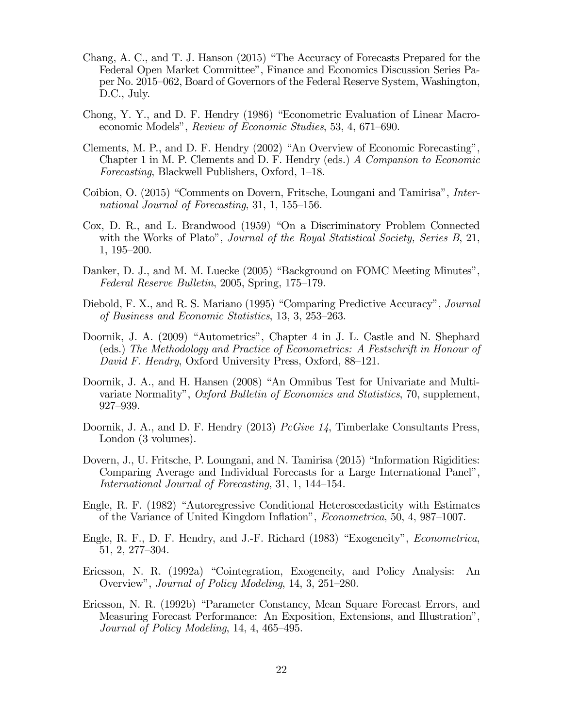- Chang, A. C., and T. J. Hanson (2015) "The Accuracy of Forecasts Prepared for the Federal Open Market Committee", Finance and Economics Discussion Series Paper No. 2015—062, Board of Governors of the Federal Reserve System, Washington, D.C., July.
- Chong, Y. Y., and D. F. Hendry (1986) "Econometric Evaluation of Linear Macroeconomic Models", Review of Economic Studies, 53, 4, 671—690.
- Clements, M. P., and D. F. Hendry (2002) "An Overview of Economic Forecasting", Chapter 1 in M. P. Clements and D. F. Hendry (eds.) A Companion to Economic Forecasting, Blackwell Publishers, Oxford, 1—18.
- Coibion, O. (2015) "Comments on Dovern, Fritsche, Loungani and Tamirisa", International Journal of Forecasting, 31, 1, 155—156.
- Cox, D. R., and L. Brandwood (1959) "On a Discriminatory Problem Connected with the Works of Plato", Journal of the Royal Statistical Society, Series B, 21, 1, 195—200.
- Danker, D. J., and M. M. Luecke (2005) "Background on FOMC Meeting Minutes", Federal Reserve Bulletin, 2005, Spring, 175—179.
- Diebold, F. X., and R. S. Mariano (1995) "Comparing Predictive Accuracy", Journal of Business and Economic Statistics, 13, 3, 253—263.
- Doornik, J. A. (2009) "Autometrics", Chapter 4 in J. L. Castle and N. Shephard (eds.) The Methodology and Practice of Econometrics: A Festschrift in Honour of David F. Hendry, Oxford University Press, Oxford, 88—121.
- Doornik, J. A., and H. Hansen (2008) "An Omnibus Test for Univariate and Multivariate Normality", Oxford Bulletin of Economics and Statistics, 70, supplement, 927—939.
- Doornik, J. A., and D. F. Hendry (2013) *PcGive 14*, Timberlake Consultants Press, London (3 volumes).
- Dovern, J., U. Fritsche, P. Loungani, and N. Tamirisa (2015) "Information Rigidities: Comparing Average and Individual Forecasts for a Large International Panel", International Journal of Forecasting, 31, 1, 144—154.
- Engle, R. F. (1982) "Autoregressive Conditional Heteroscedasticity with Estimates of the Variance of United Kingdom Inflation", Econometrica, 50, 4, 987—1007.
- Engle, R. F., D. F. Hendry, and J.-F. Richard (1983) "Exogeneity", Econometrica, 51, 2, 277—304.
- Ericsson, N. R. (1992a) "Cointegration, Exogeneity, and Policy Analysis: An Overview", Journal of Policy Modeling, 14, 3, 251—280.
- Ericsson, N. R. (1992b) "Parameter Constancy, Mean Square Forecast Errors, and Measuring Forecast Performance: An Exposition, Extensions, and Illustration", Journal of Policy Modeling, 14, 4, 465—495.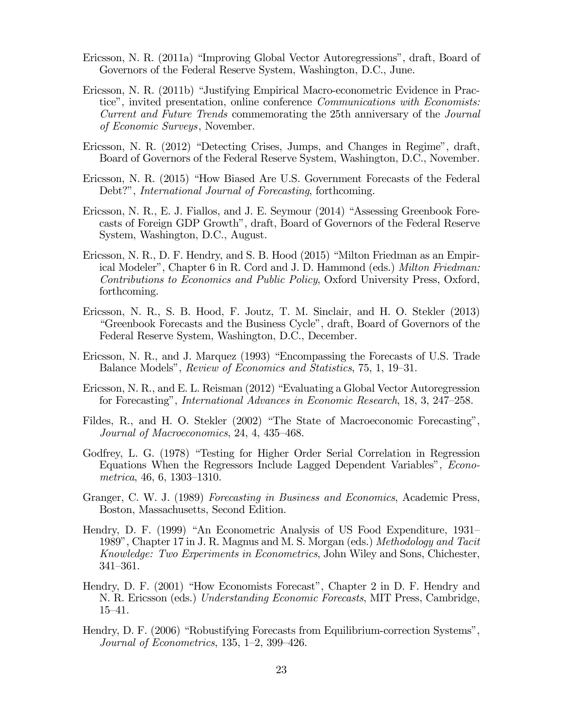- Ericsson, N. R. (2011a) "Improving Global Vector Autoregressions", draft, Board of Governors of the Federal Reserve System, Washington, D.C., June.
- Ericsson, N. R. (2011b) "Justifying Empirical Macro-econometric Evidence in Practice", invited presentation, online conference Communications with Economists: Current and Future Trends commemorating the 25th anniversary of the Journal of Economic Surveys, November.
- Ericsson, N. R. (2012) "Detecting Crises, Jumps, and Changes in Regime", draft, Board of Governors of the Federal Reserve System, Washington, D.C., November.
- Ericsson, N. R. (2015) "How Biased Are U.S. Government Forecasts of the Federal Debt?", *International Journal of Forecasting*, forthcoming.
- Ericsson, N. R., E. J. Fiallos, and J. E. Seymour (2014) "Assessing Greenbook Forecasts of Foreign GDP Growth", draft, Board of Governors of the Federal Reserve System, Washington, D.C., August.
- Ericsson, N. R., D. F. Hendry, and S. B. Hood (2015) "Milton Friedman as an Empirical Modeler", Chapter 6 in R. Cord and J. D. Hammond (eds.) Milton Friedman: Contributions to Economics and Public Policy, Oxford University Press, Oxford, forthcoming.
- Ericsson, N. R., S. B. Hood, F. Joutz, T. M. Sinclair, and H. O. Stekler (2013) "Greenbook Forecasts and the Business Cycle", draft, Board of Governors of the Federal Reserve System, Washington, D.C., December.
- Ericsson, N. R., and J. Marquez (1993) "Encompassing the Forecasts of U.S. Trade Balance Models", Review of Economics and Statistics, 75, 1, 19—31.
- Ericsson, N. R., and E. L. Reisman (2012) "Evaluating a Global Vector Autoregression for Forecasting", International Advances in Economic Research, 18, 3, 247—258.
- Fildes, R., and H. O. Stekler (2002) "The State of Macroeconomic Forecasting", Journal of Macroeconomics, 24, 4, 435—468.
- Godfrey, L. G. (1978) "Testing for Higher Order Serial Correlation in Regression Equations When the Regressors Include Lagged Dependent Variables", Econometrica, 46, 6, 1303—1310.
- Granger, C. W. J. (1989) Forecasting in Business and Economics, Academic Press, Boston, Massachusetts, Second Edition.
- Hendry, D. F. (1999) "An Econometric Analysis of US Food Expenditure, 1931— 1989", Chapter 17 in J. R. Magnus and M. S. Morgan (eds.) *Methodology and Tacit* Knowledge: Two Experiments in Econometrics, John Wiley and Sons, Chichester, 341—361.
- Hendry, D. F. (2001) "How Economists Forecast", Chapter 2 in D. F. Hendry and N. R. Ericsson (eds.) Understanding Economic Forecasts, MIT Press, Cambridge, 15—41.
- Hendry, D. F. (2006) "Robustifying Forecasts from Equilibrium-correction Systems", Journal of Econometrics, 135, 1—2, 399—426.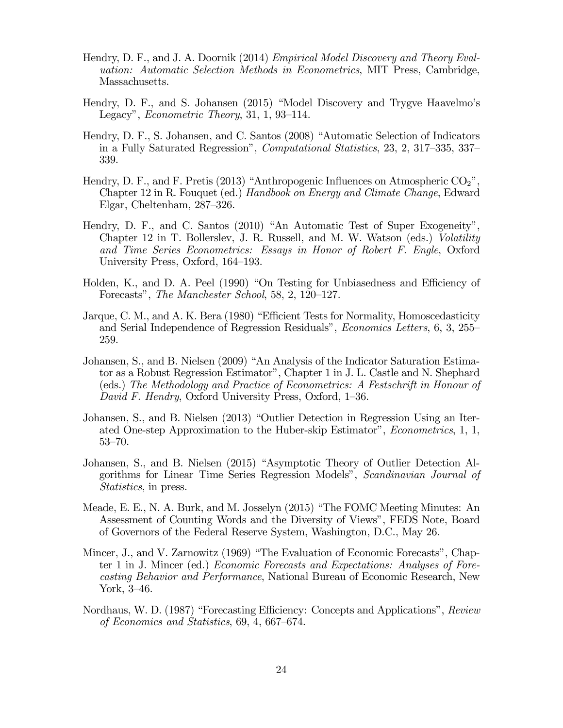- Hendry, D. F., and J. A. Doornik (2014) *Empirical Model Discovery and Theory Eval*uation: Automatic Selection Methods in Econometrics, MIT Press, Cambridge, Massachusetts.
- Hendry, D. F., and S. Johansen (2015) "Model Discovery and Trygve Haavelmo's Legacy", Econometric Theory, 31, 1, 93—114.
- Hendry, D. F., S. Johansen, and C. Santos (2008) "Automatic Selection of Indicators in a Fully Saturated Regression", Computational Statistics, 23, 2, 317—335, 337— 339.
- Hendry, D. F., and F. Pretis (2013) "Anthropogenic Influences on Atmospheric  $CO_2$ ", Chapter 12 in R. Fouquet (ed.) Handbook on Energy and Climate Change, Edward Elgar, Cheltenham, 287—326.
- Hendry, D. F., and C. Santos (2010) "An Automatic Test of Super Exogeneity", Chapter 12 in T. Bollerslev, J. R. Russell, and M. W. Watson (eds.) Volatility and Time Series Econometrics: Essays in Honor of Robert F. Engle, Oxford University Press, Oxford, 164—193.
- Holden, K., and D. A. Peel (1990) "On Testing for Unbiasedness and Efficiency of Forecasts", The Manchester School, 58, 2, 120—127.
- Jarque, C. M., and A. K. Bera (1980) "Efficient Tests for Normality, Homoscedasticity and Serial Independence of Regression Residuals", Economics Letters, 6, 3, 255— 259.
- Johansen, S., and B. Nielsen (2009) "An Analysis of the Indicator Saturation Estimator as a Robust Regression Estimator", Chapter 1 in J. L. Castle and N. Shephard (eds.) The Methodology and Practice of Econometrics: A Festschrift in Honour of David F. Hendry, Oxford University Press, Oxford, 1—36.
- Johansen, S., and B. Nielsen (2013) "Outlier Detection in Regression Using an Iterated One-step Approximation to the Huber-skip Estimator", Econometrics, 1, 1, 53—70.
- Johansen, S., and B. Nielsen (2015) "Asymptotic Theory of Outlier Detection Algorithms for Linear Time Series Regression Models", Scandinavian Journal of Statistics, in press.
- Meade, E. E., N. A. Burk, and M. Josselyn (2015) "The FOMC Meeting Minutes: An Assessment of Counting Words and the Diversity of Views", FEDS Note, Board of Governors of the Federal Reserve System, Washington, D.C., May 26.
- Mincer, J., and V. Zarnowitz (1969) "The Evaluation of Economic Forecasts", Chapter 1 in J. Mincer (ed.) Economic Forecasts and Expectations: Analyses of Forecasting Behavior and Performance, National Bureau of Economic Research, New York, 3—46.
- Nordhaus, W. D. (1987) "Forecasting Efficiency: Concepts and Applications", Review of Economics and Statistics, 69, 4, 667—674.